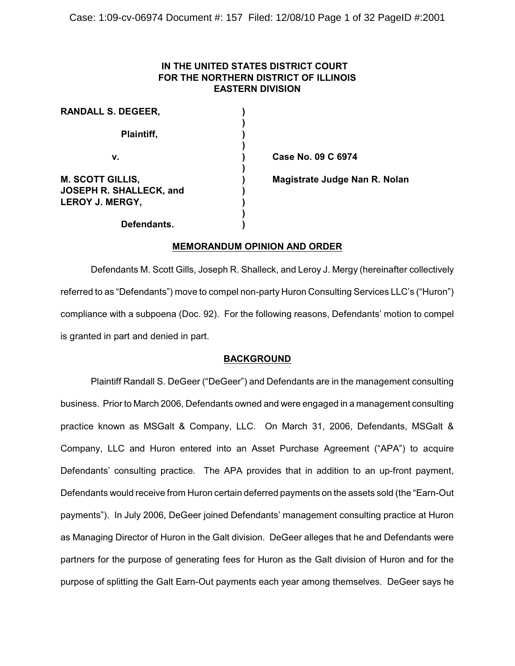# **IN THE UNITED STATES DISTRICT COURT FOR THE NORTHERN DISTRICT OF ILLINOIS EASTERN DIVISION**

| <b>RANDALL S. DEGEER,</b>                                             |  |
|-----------------------------------------------------------------------|--|
| Plaintiff,                                                            |  |
| v.                                                                    |  |
| <b>M. SCOTT GILLIS,</b><br>JOSEPH R. SHALLECK, and<br>LEROY J. MERGY, |  |
| Defendants.                                                           |  |

 **v. ) Case No. 09 C 6974**

**Magistrate Judge Nan R. Nolan** 

# **MEMORANDUM OPINION AND ORDER**

Defendants M. Scott Gills, Joseph R. Shalleck, and Leroy J. Mergy (hereinafter collectively referred to as "Defendants") move to compel non-party Huron Consulting Services LLC's ("Huron") compliance with a subpoena (Doc. 92). For the following reasons, Defendants' motion to compel is granted in part and denied in part.

# **BACKGROUND**

Plaintiff Randall S. DeGeer ("DeGeer") and Defendants are in the management consulting business. Prior to March 2006, Defendants owned and were engaged in a management consulting practice known as MSGalt & Company, LLC. On March 31, 2006, Defendants, MSGalt & Company, LLC and Huron entered into an Asset Purchase Agreement ("APA") to acquire Defendants' consulting practice. The APA provides that in addition to an up-front payment, Defendants would receive from Huron certain deferred payments on the assets sold (the "Earn-Out payments"). In July 2006, DeGeer joined Defendants' management consulting practice at Huron as Managing Director of Huron in the Galt division. DeGeer alleges that he and Defendants were partners for the purpose of generating fees for Huron as the Galt division of Huron and for the purpose of splitting the Galt Earn-Out payments each year among themselves. DeGeer says he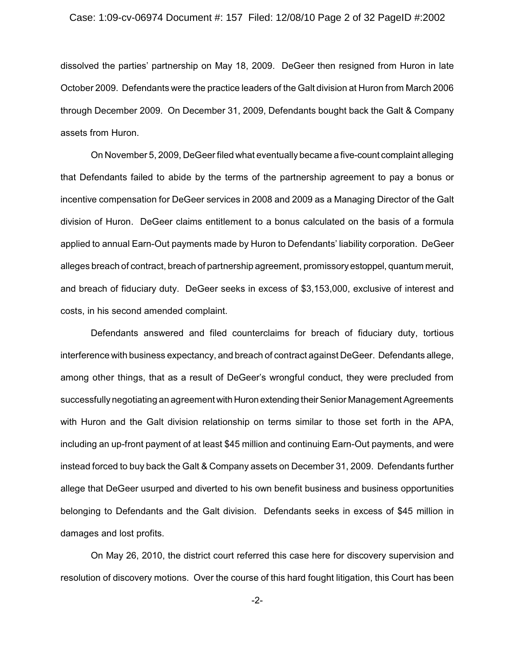#### Case: 1:09-cv-06974 Document #: 157 Filed: 12/08/10 Page 2 of 32 PageID #:2002

dissolved the parties' partnership on May 18, 2009. DeGeer then resigned from Huron in late October 2009. Defendants were the practice leaders of the Galt division at Huron from March 2006 through December 2009. On December 31, 2009, Defendants bought back the Galt & Company assets from Huron.

On November 5, 2009, DeGeer filed what eventually became a five-count complaint alleging that Defendants failed to abide by the terms of the partnership agreement to pay a bonus or incentive compensation for DeGeer services in 2008 and 2009 as a Managing Director of the Galt division of Huron. DeGeer claims entitlement to a bonus calculated on the basis of a formula applied to annual Earn-Out payments made by Huron to Defendants' liability corporation. DeGeer alleges breach of contract, breach of partnership agreement, promissory estoppel, quantum meruit, and breach of fiduciary duty. DeGeer seeks in excess of \$3,153,000, exclusive of interest and costs, in his second amended complaint.

Defendants answered and filed counterclaims for breach of fiduciary duty, tortious interference with business expectancy, and breach of contract against DeGeer. Defendants allege, among other things, that as a result of DeGeer's wrongful conduct, they were precluded from successfully negotiating an agreement with Huron extending their Senior Management Agreements with Huron and the Galt division relationship on terms similar to those set forth in the APA, including an up-front payment of at least \$45 million and continuing Earn-Out payments, and were instead forced to buy back the Galt & Company assets on December 31, 2009. Defendants further allege that DeGeer usurped and diverted to his own benefit business and business opportunities belonging to Defendants and the Galt division. Defendants seeks in excess of \$45 million in damages and lost profits.

On May 26, 2010, the district court referred this case here for discovery supervision and resolution of discovery motions. Over the course of this hard fought litigation, this Court has been

-2-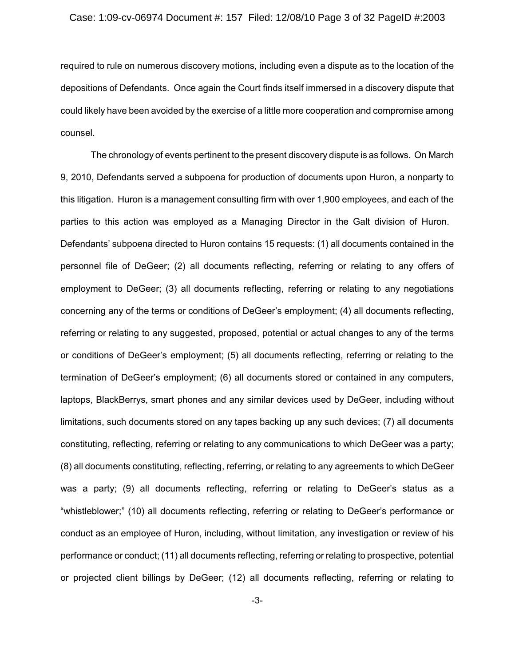#### Case: 1:09-cv-06974 Document #: 157 Filed: 12/08/10 Page 3 of 32 PageID #:2003

required to rule on numerous discovery motions, including even a dispute as to the location of the depositions of Defendants. Once again the Court finds itself immersed in a discovery dispute that could likely have been avoided by the exercise of a little more cooperation and compromise among counsel.

The chronology of events pertinent to the present discovery dispute is as follows. On March 9, 2010, Defendants served a subpoena for production of documents upon Huron, a nonparty to this litigation. Huron is a management consulting firm with over 1,900 employees, and each of the parties to this action was employed as a Managing Director in the Galt division of Huron. Defendants' subpoena directed to Huron contains 15 requests: (1) all documents contained in the personnel file of DeGeer; (2) all documents reflecting, referring or relating to any offers of employment to DeGeer; (3) all documents reflecting, referring or relating to any negotiations concerning any of the terms or conditions of DeGeer's employment; (4) all documents reflecting, referring or relating to any suggested, proposed, potential or actual changes to any of the terms or conditions of DeGeer's employment; (5) all documents reflecting, referring or relating to the termination of DeGeer's employment; (6) all documents stored or contained in any computers, laptops, BlackBerrys, smart phones and any similar devices used by DeGeer, including without limitations, such documents stored on any tapes backing up any such devices; (7) all documents constituting, reflecting, referring or relating to any communications to which DeGeer was a party; (8) all documents constituting, reflecting, referring, or relating to any agreements to which DeGeer was a party; (9) all documents reflecting, referring or relating to DeGeer's status as a "whistleblower;" (10) all documents reflecting, referring or relating to DeGeer's performance or conduct as an employee of Huron, including, without limitation, any investigation or review of his performance or conduct; (11) all documents reflecting, referring or relating to prospective, potential or projected client billings by DeGeer; (12) all documents reflecting, referring or relating to

-3-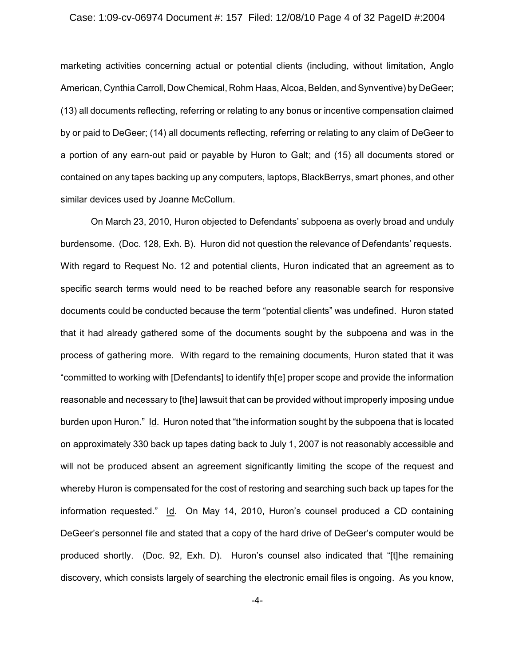#### Case: 1:09-cv-06974 Document #: 157 Filed: 12/08/10 Page 4 of 32 PageID #:2004

marketing activities concerning actual or potential clients (including, without limitation, Anglo American, Cynthia Carroll, DowChemical, Rohm Haas, Alcoa, Belden, and Synventive) by DeGeer; (13) all documents reflecting, referring or relating to any bonus or incentive compensation claimed by or paid to DeGeer; (14) all documents reflecting, referring or relating to any claim of DeGeer to a portion of any earn-out paid or payable by Huron to Galt; and (15) all documents stored or contained on any tapes backing up any computers, laptops, BlackBerrys, smart phones, and other similar devices used by Joanne McCollum.

On March 23, 2010, Huron objected to Defendants' subpoena as overly broad and unduly burdensome. (Doc. 128, Exh. B). Huron did not question the relevance of Defendants' requests. With regard to Request No. 12 and potential clients, Huron indicated that an agreement as to specific search terms would need to be reached before any reasonable search for responsive documents could be conducted because the term "potential clients" was undefined. Huron stated that it had already gathered some of the documents sought by the subpoena and was in the process of gathering more. With regard to the remaining documents, Huron stated that it was "committed to working with [Defendants] to identify th[e] proper scope and provide the information reasonable and necessary to [the] lawsuit that can be provided without improperly imposing undue burden upon Huron." Id. Huron noted that "the information sought by the subpoena that is located on approximately 330 back up tapes dating back to July 1, 2007 is not reasonably accessible and will not be produced absent an agreement significantly limiting the scope of the request and whereby Huron is compensated for the cost of restoring and searching such back up tapes for the information requested." Id. On May 14, 2010, Huron's counsel produced a CD containing DeGeer's personnel file and stated that a copy of the hard drive of DeGeer's computer would be produced shortly. (Doc. 92, Exh. D). Huron's counsel also indicated that "[t]he remaining discovery, which consists largely of searching the electronic email files is ongoing. As you know,

-4-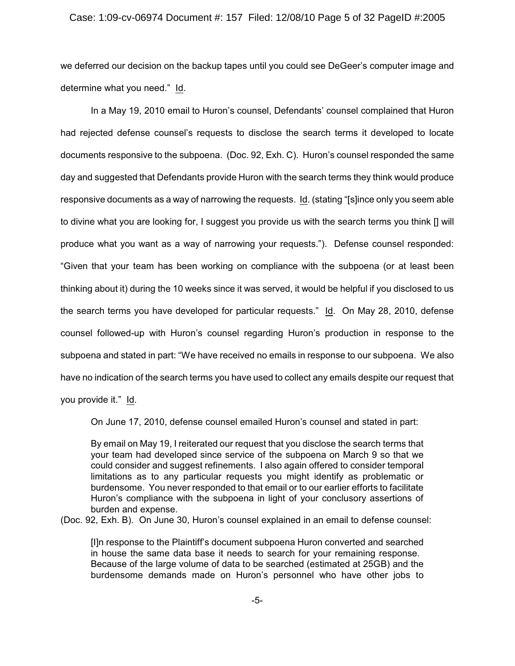#### Case: 1:09-cv-06974 Document #: 157 Filed: 12/08/10 Page 5 of 32 PageID #:2005

we deferred our decision on the backup tapes until you could see DeGeer's computer image and determine what you need." Id.

In a May 19, 2010 email to Huron's counsel, Defendants' counsel complained that Huron had rejected defense counsel's requests to disclose the search terms it developed to locate documents responsive to the subpoena. (Doc. 92, Exh. C). Huron's counsel responded the same day and suggested that Defendants provide Huron with the search terms they think would produce responsive documents as a way of narrowing the requests. Id. (stating "[s]ince only you seem able to divine what you are looking for, I suggest you provide us with the search terms you think [] will produce what you want as a way of narrowing your requests."). Defense counsel responded: "Given that your team has been working on compliance with the subpoena (or at least been thinking about it) during the 10 weeks since it was served, it would be helpful if you disclosed to us the search terms you have developed for particular requests." Id. On May 28, 2010, defense counsel followed-up with Huron's counsel regarding Huron's production in response to the subpoena and stated in part: "We have received no emails in response to our subpoena. We also have no indication of the search terms you have used to collect any emails despite our request that you provide it." Id.

On June 17, 2010, defense counsel emailed Huron's counsel and stated in part:

By email on May 19, I reiterated our request that you disclose the search terms that your team had developed since service of the subpoena on March 9 so that we could consider and suggest refinements. I also again offered to consider temporal limitations as to any particular requests you might identify as problematic or burdensome. You never responded to that email or to our earlier efforts to facilitate Huron's compliance with the subpoena in light of your conclusory assertions of burden and expense.

(Doc. 92, Exh. B). On June 30, Huron's counsel explained in an email to defense counsel:

[I]n response to the Plaintiff's document subpoena Huron converted and searched in house the same data base it needs to search for your remaining response. Because of the large volume of data to be searched (estimated at 25GB) and the burdensome demands made on Huron's personnel who have other jobs to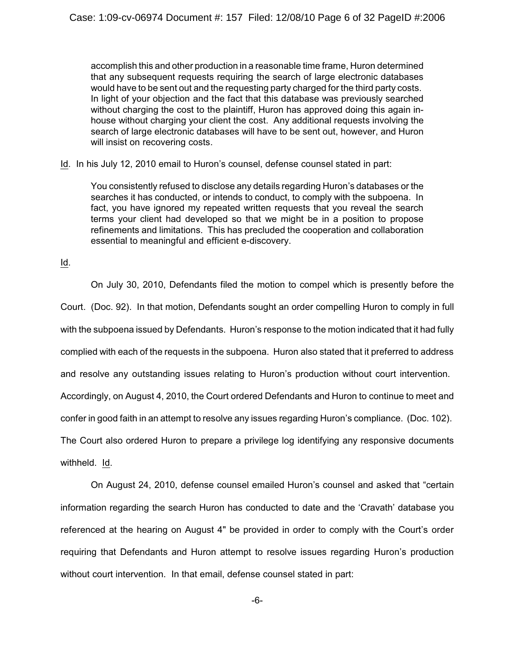accomplish this and other production in a reasonable time frame, Huron determined that any subsequent requests requiring the search of large electronic databases would have to be sent out and the requesting party charged for the third party costs. In light of your objection and the fact that this database was previously searched without charging the cost to the plaintiff, Huron has approved doing this again inhouse without charging your client the cost. Any additional requests involving the search of large electronic databases will have to be sent out, however, and Huron will insist on recovering costs.

Id. In his July 12, 2010 email to Huron's counsel, defense counsel stated in part:

You consistently refused to disclose any details regarding Huron's databases or the searches it has conducted, or intends to conduct, to comply with the subpoena. In fact, you have ignored my repeated written requests that you reveal the search terms your client had developed so that we might be in a position to propose refinements and limitations. This has precluded the cooperation and collaboration essential to meaningful and efficient e-discovery.

Id.

On July 30, 2010, Defendants filed the motion to compel which is presently before the Court. (Doc. 92). In that motion, Defendants sought an order compelling Huron to comply in full with the subpoena issued by Defendants. Huron's response to the motion indicated that it had fully complied with each of the requests in the subpoena. Huron also stated that it preferred to address and resolve any outstanding issues relating to Huron's production without court intervention. Accordingly, on August 4, 2010, the Court ordered Defendants and Huron to continue to meet and confer in good faith in an attempt to resolve any issues regarding Huron's compliance. (Doc. 102). The Court also ordered Huron to prepare a privilege log identifying any responsive documents withheld. Id.

On August 24, 2010, defense counsel emailed Huron's counsel and asked that "certain information regarding the search Huron has conducted to date and the 'Cravath' database you referenced at the hearing on August 4" be provided in order to comply with the Court's order requiring that Defendants and Huron attempt to resolve issues regarding Huron's production without court intervention. In that email, defense counsel stated in part: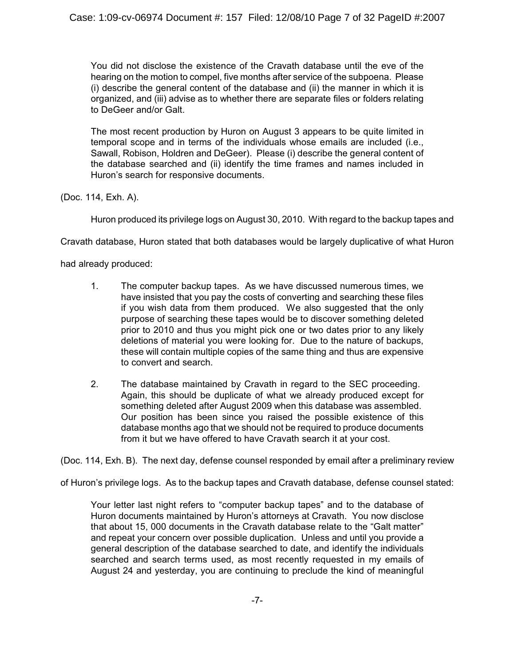You did not disclose the existence of the Cravath database until the eve of the hearing on the motion to compel, five months after service of the subpoena. Please (i) describe the general content of the database and (ii) the manner in which it is organized, and (iii) advise as to whether there are separate files or folders relating to DeGeer and/or Galt.

The most recent production by Huron on August 3 appears to be quite limited in temporal scope and in terms of the individuals whose emails are included (i.e., Sawall, Robison, Holdren and DeGeer). Please (i) describe the general content of the database searched and (ii) identify the time frames and names included in Huron's search for responsive documents.

(Doc. 114, Exh. A).

Huron produced its privilege logs on August 30, 2010. With regard to the backup tapes and

Cravath database, Huron stated that both databases would be largely duplicative of what Huron

had already produced:

- 1. The computer backup tapes. As we have discussed numerous times, we have insisted that you pay the costs of converting and searching these files if you wish data from them produced. We also suggested that the only purpose of searching these tapes would be to discover something deleted prior to 2010 and thus you might pick one or two dates prior to any likely deletions of material you were looking for. Due to the nature of backups, these will contain multiple copies of the same thing and thus are expensive to convert and search.
- 2. The database maintained by Cravath in regard to the SEC proceeding. Again, this should be duplicate of what we already produced except for something deleted after August 2009 when this database was assembled. Our position has been since you raised the possible existence of this database months ago that we should not be required to produce documents from it but we have offered to have Cravath search it at your cost.

(Doc. 114, Exh. B). The next day, defense counsel responded by email after a preliminary review

of Huron's privilege logs. As to the backup tapes and Cravath database, defense counsel stated:

Your letter last night refers to "computer backup tapes" and to the database of Huron documents maintained by Huron's attorneys at Cravath. You now disclose that about 15, 000 documents in the Cravath database relate to the "Galt matter" and repeat your concern over possible duplication. Unless and until you provide a general description of the database searched to date, and identify the individuals searched and search terms used, as most recently requested in my emails of August 24 and yesterday, you are continuing to preclude the kind of meaningful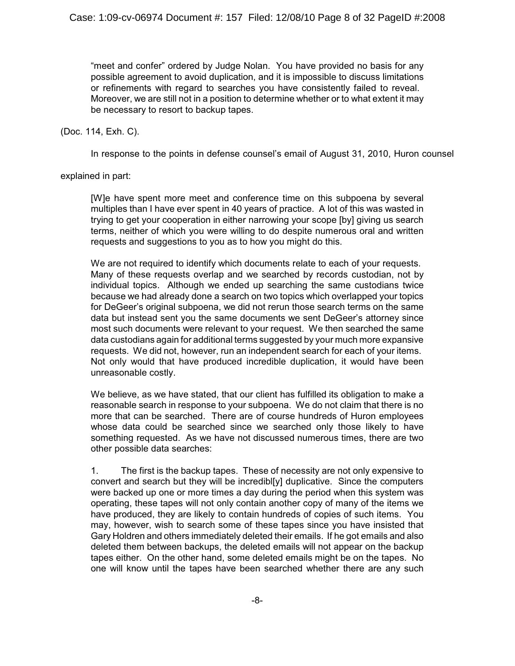"meet and confer" ordered by Judge Nolan. You have provided no basis for any possible agreement to avoid duplication, and it is impossible to discuss limitations or refinements with regard to searches you have consistently failed to reveal. Moreover, we are still not in a position to determine whether or to what extent it may be necessary to resort to backup tapes.

(Doc. 114, Exh. C).

In response to the points in defense counsel's email of August 31, 2010, Huron counsel

explained in part:

[W]e have spent more meet and conference time on this subpoena by several multiples than I have ever spent in 40 years of practice. A lot of this was wasted in trying to get your cooperation in either narrowing your scope [by] giving us search terms, neither of which you were willing to do despite numerous oral and written requests and suggestions to you as to how you might do this.

We are not required to identify which documents relate to each of your requests. Many of these requests overlap and we searched by records custodian, not by individual topics. Although we ended up searching the same custodians twice because we had already done a search on two topics which overlapped your topics for DeGeer's original subpoena, we did not rerun those search terms on the same data but instead sent you the same documents we sent DeGeer's attorney since most such documents were relevant to your request. We then searched the same data custodians again for additional terms suggested by your much more expansive requests. We did not, however, run an independent search for each of your items. Not only would that have produced incredible duplication, it would have been unreasonable costly.

We believe, as we have stated, that our client has fulfilled its obligation to make a reasonable search in response to your subpoena. We do not claim that there is no more that can be searched. There are of course hundreds of Huron employees whose data could be searched since we searched only those likely to have something requested. As we have not discussed numerous times, there are two other possible data searches:

1. The first is the backup tapes. These of necessity are not only expensive to convert and search but they will be incredibl[y] duplicative. Since the computers were backed up one or more times a day during the period when this system was operating, these tapes will not only contain another copy of many of the items we have produced, they are likely to contain hundreds of copies of such items. You may, however, wish to search some of these tapes since you have insisted that Gary Holdren and others immediately deleted their emails. If he got emails and also deleted them between backups, the deleted emails will not appear on the backup tapes either. On the other hand, some deleted emails might be on the tapes. No one will know until the tapes have been searched whether there are any such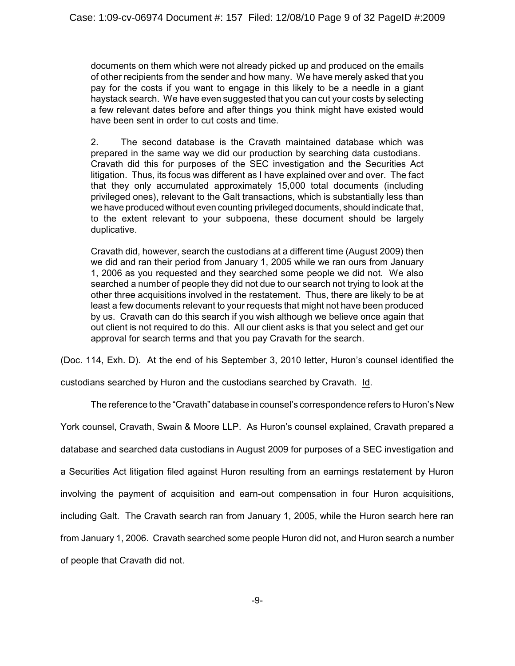documents on them which were not already picked up and produced on the emails of other recipients from the sender and how many. We have merely asked that you pay for the costs if you want to engage in this likely to be a needle in a giant haystack search. We have even suggested that you can cut your costs by selecting a few relevant dates before and after things you think might have existed would have been sent in order to cut costs and time.

2. The second database is the Cravath maintained database which was prepared in the same way we did our production by searching data custodians. Cravath did this for purposes of the SEC investigation and the Securities Act litigation. Thus, its focus was different as I have explained over and over. The fact that they only accumulated approximately 15,000 total documents (including privileged ones), relevant to the Galt transactions, which is substantially less than we have produced without even counting privileged documents, should indicate that, to the extent relevant to your subpoena, these document should be largely duplicative.

Cravath did, however, search the custodians at a different time (August 2009) then we did and ran their period from January 1, 2005 while we ran ours from January 1, 2006 as you requested and they searched some people we did not. We also searched a number of people they did not due to our search not trying to look at the other three acquisitions involved in the restatement. Thus, there are likely to be at least a few documents relevant to your requests that might not have been produced by us. Cravath can do this search if you wish although we believe once again that out client is not required to do this. All our client asks is that you select and get our approval for search terms and that you pay Cravath for the search.

(Doc. 114, Exh. D). At the end of his September 3, 2010 letter, Huron's counsel identified the

custodians searched by Huron and the custodians searched by Cravath. Id.

The reference to the "Cravath" database in counsel's correspondence refers to Huron's New

York counsel, Cravath, Swain & Moore LLP. As Huron's counsel explained, Cravath prepared a

database and searched data custodians in August 2009 for purposes of a SEC investigation and

a Securities Act litigation filed against Huron resulting from an earnings restatement by Huron

involving the payment of acquisition and earn-out compensation in four Huron acquisitions,

including Galt. The Cravath search ran from January 1, 2005, while the Huron search here ran

from January 1, 2006. Cravath searched some people Huron did not, and Huron search a number

of people that Cravath did not.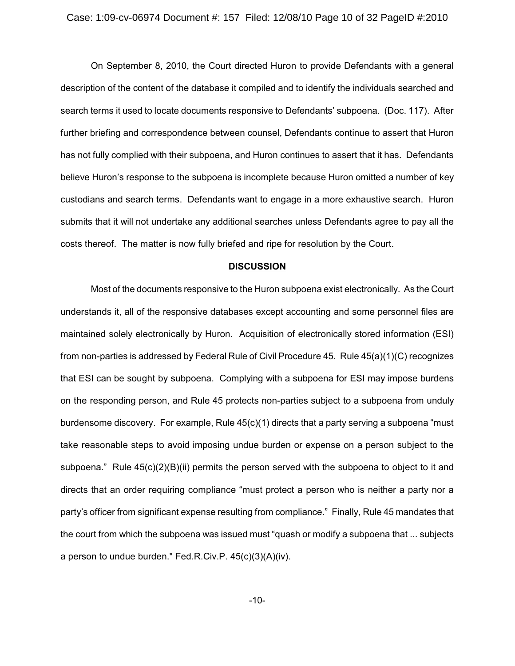On September 8, 2010, the Court directed Huron to provide Defendants with a general description of the content of the database it compiled and to identify the individuals searched and search terms it used to locate documents responsive to Defendants' subpoena. (Doc. 117). After further briefing and correspondence between counsel, Defendants continue to assert that Huron has not fully complied with their subpoena, and Huron continues to assert that it has. Defendants believe Huron's response to the subpoena is incomplete because Huron omitted a number of key custodians and search terms. Defendants want to engage in a more exhaustive search. Huron submits that it will not undertake any additional searches unless Defendants agree to pay all the costs thereof. The matter is now fully briefed and ripe for resolution by the Court.

#### **DISCUSSION**

Most of the documents responsive to the Huron subpoena exist electronically. As the Court understands it, all of the responsive databases except accounting and some personnel files are maintained solely electronically by Huron. Acquisition of electronically stored information (ESI) from non-parties is addressed by Federal Rule of Civil Procedure 45. Rule 45(a)(1)(C) recognizes that ESI can be sought by subpoena. Complying with a subpoena for ESI may impose burdens on the responding person, and Rule 45 protects non-parties subject to a subpoena from unduly burdensome discovery. For example, Rule 45(c)(1) directs that a party serving a subpoena "must take reasonable steps to avoid imposing undue burden or expense on a person subject to the subpoena." Rule 45(c)(2)(B)(ii) permits the person served with the subpoena to object to it and directs that an order requiring compliance "must protect a person who is neither a party nor a party's officer from significant expense resulting from compliance." Finally, Rule 45 mandates that the court from which the subpoena was issued must "quash or modify a subpoena that ... subjects a person to undue burden." Fed.R.Civ.P. 45(c)(3)(A)(iv).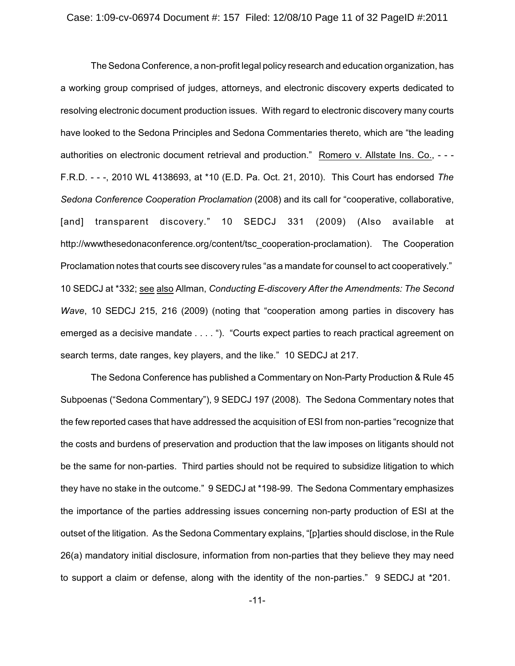The Sedona Conference, a non-profit legal policy research and education organization, has a working group comprised of judges, attorneys, and electronic discovery experts dedicated to resolving electronic document production issues. With regard to electronic discovery many courts have looked to the Sedona Principles and Sedona Commentaries thereto, which are "the leading authorities on electronic document retrieval and production." Romero v. Allstate Ins. Co., - - - F.R.D. - - -, 2010 WL 4138693, at \*10 (E.D. Pa. Oct. 21, 2010). This Court has endorsed *The Sedona Conference Cooperation Proclamation* (2008) and its call for "cooperative, collaborative, [and] transparent discovery." 10 SEDCJ 331 (2009) (Also available at http://wwwthesedonaconference.org/content/tsc\_cooperation-proclamation). The Cooperation Proclamation notes that courts see discovery rules "as a mandate for counsel to act cooperatively." 10 SEDCJ at \*332; see also Allman, *Conducting E-discovery After the Amendments: The Second Wave*, 10 SEDCJ 215, 216 (2009) (noting that "cooperation among parties in discovery has emerged as a decisive mandate . . . . "). "Courts expect parties to reach practical agreement on search terms, date ranges, key players, and the like." 10 SEDCJ at 217.

The Sedona Conference has published a Commentary on Non-Party Production & Rule 45 Subpoenas ("Sedona Commentary"), 9 SEDCJ 197 (2008). The Sedona Commentary notes that the few reported cases that have addressed the acquisition of ESI from non-parties "recognize that the costs and burdens of preservation and production that the law imposes on litigants should not be the same for non-parties. Third parties should not be required to subsidize litigation to which they have no stake in the outcome." 9 SEDCJ at \*198-99. The Sedona Commentary emphasizes the importance of the parties addressing issues concerning non-party production of ESI at the outset of the litigation. As the Sedona Commentary explains, "[p]arties should disclose, in the Rule 26(a) mandatory initial disclosure, information from non-parties that they believe they may need to support a claim or defense, along with the identity of the non-parties." 9 SEDCJ at \*201.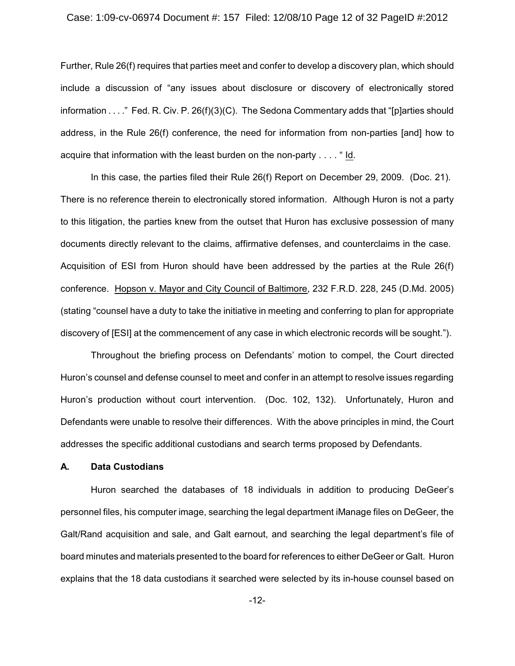#### Case: 1:09-cv-06974 Document #: 157 Filed: 12/08/10 Page 12 of 32 PageID #:2012

Further, Rule 26(f) requires that parties meet and confer to develop a discovery plan, which should include a discussion of "any issues about disclosure or discovery of electronically stored information . . . ." Fed. R. Civ. P. 26(f)(3)(C). The Sedona Commentary adds that "[p]arties should address, in the Rule 26(f) conference, the need for information from non-parties [and] how to acquire that information with the least burden on the non-party . . . . " Id.

In this case, the parties filed their Rule 26(f) Report on December 29, 2009. (Doc. 21). There is no reference therein to electronically stored information. Although Huron is not a party to this litigation, the parties knew from the outset that Huron has exclusive possession of many documents directly relevant to the claims, affirmative defenses, and counterclaims in the case. Acquisition of ESI from Huron should have been addressed by the parties at the Rule 26(f) conference. Hopson v. Mayor and City Council of Baltimore, 232 F.R.D. 228, 245 (D.Md. 2005) (stating "counsel have a duty to take the initiative in meeting and conferring to plan for appropriate discovery of [ESI] at the commencement of any case in which electronic records will be sought.").

Throughout the briefing process on Defendants' motion to compel, the Court directed Huron's counsel and defense counsel to meet and confer in an attempt to resolve issues regarding Huron's production without court intervention. (Doc. 102, 132). Unfortunately, Huron and Defendants were unable to resolve their differences. With the above principles in mind, the Court addresses the specific additional custodians and search terms proposed by Defendants.

### **A. Data Custodians**

Huron searched the databases of 18 individuals in addition to producing DeGeer's personnel files, his computer image, searching the legal department iManage files on DeGeer, the Galt/Rand acquisition and sale, and Galt earnout, and searching the legal department's file of board minutes and materials presented to the board for references to either DeGeer or Galt. Huron explains that the 18 data custodians it searched were selected by its in-house counsel based on

-12-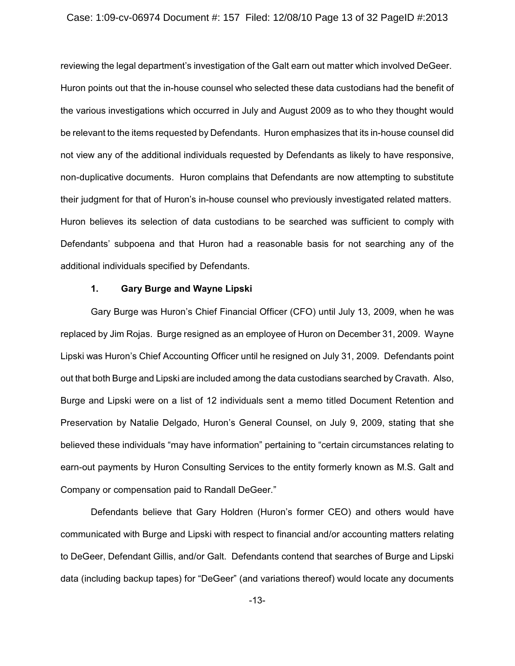#### Case: 1:09-cv-06974 Document #: 157 Filed: 12/08/10 Page 13 of 32 PageID #:2013

reviewing the legal department's investigation of the Galt earn out matter which involved DeGeer. Huron points out that the in-house counsel who selected these data custodians had the benefit of the various investigations which occurred in July and August 2009 as to who they thought would be relevant to the items requested by Defendants. Huron emphasizes that its in-house counsel did not view any of the additional individuals requested by Defendants as likely to have responsive, non-duplicative documents. Huron complains that Defendants are now attempting to substitute their judgment for that of Huron's in-house counsel who previously investigated related matters. Huron believes its selection of data custodians to be searched was sufficient to comply with Defendants' subpoena and that Huron had a reasonable basis for not searching any of the additional individuals specified by Defendants.

# **1. Gary Burge and Wayne Lipski**

Gary Burge was Huron's Chief Financial Officer (CFO) until July 13, 2009, when he was replaced by Jim Rojas. Burge resigned as an employee of Huron on December 31, 2009. Wayne Lipski was Huron's Chief Accounting Officer until he resigned on July 31, 2009. Defendants point out that both Burge and Lipski are included among the data custodians searched by Cravath. Also, Burge and Lipski were on a list of 12 individuals sent a memo titled Document Retention and Preservation by Natalie Delgado, Huron's General Counsel, on July 9, 2009, stating that she believed these individuals "may have information" pertaining to "certain circumstances relating to earn-out payments by Huron Consulting Services to the entity formerly known as M.S. Galt and Company or compensation paid to Randall DeGeer."

Defendants believe that Gary Holdren (Huron's former CEO) and others would have communicated with Burge and Lipski with respect to financial and/or accounting matters relating to DeGeer, Defendant Gillis, and/or Galt. Defendants contend that searches of Burge and Lipski data (including backup tapes) for "DeGeer" (and variations thereof) would locate any documents

-13-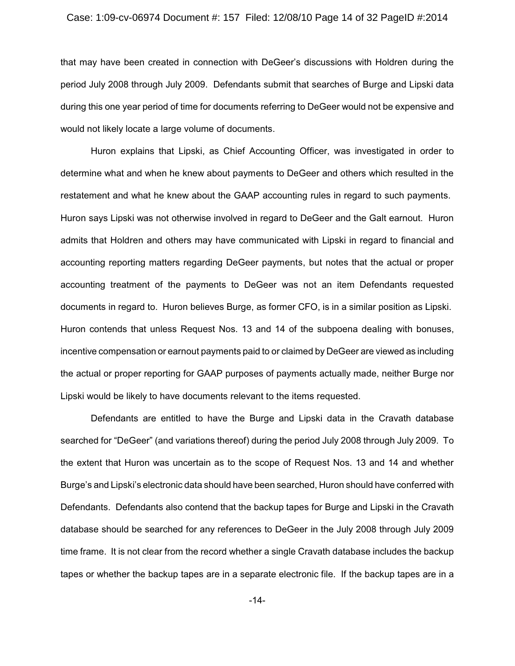# Case: 1:09-cv-06974 Document #: 157 Filed: 12/08/10 Page 14 of 32 PageID #:2014

that may have been created in connection with DeGeer's discussions with Holdren during the period July 2008 through July 2009. Defendants submit that searches of Burge and Lipski data during this one year period of time for documents referring to DeGeer would not be expensive and would not likely locate a large volume of documents.

Huron explains that Lipski, as Chief Accounting Officer, was investigated in order to determine what and when he knew about payments to DeGeer and others which resulted in the restatement and what he knew about the GAAP accounting rules in regard to such payments. Huron says Lipski was not otherwise involved in regard to DeGeer and the Galt earnout. Huron admits that Holdren and others may have communicated with Lipski in regard to financial and accounting reporting matters regarding DeGeer payments, but notes that the actual or proper accounting treatment of the payments to DeGeer was not an item Defendants requested documents in regard to. Huron believes Burge, as former CFO, is in a similar position as Lipski. Huron contends that unless Request Nos. 13 and 14 of the subpoena dealing with bonuses, incentive compensation or earnout payments paid to or claimed by DeGeer are viewed as including the actual or proper reporting for GAAP purposes of payments actually made, neither Burge nor Lipski would be likely to have documents relevant to the items requested.

Defendants are entitled to have the Burge and Lipski data in the Cravath database searched for "DeGeer" (and variations thereof) during the period July 2008 through July 2009. To the extent that Huron was uncertain as to the scope of Request Nos. 13 and 14 and whether Burge's and Lipski's electronic data should have been searched, Huron should have conferred with Defendants. Defendants also contend that the backup tapes for Burge and Lipski in the Cravath database should be searched for any references to DeGeer in the July 2008 through July 2009 time frame. It is not clear from the record whether a single Cravath database includes the backup tapes or whether the backup tapes are in a separate electronic file. If the backup tapes are in a

-14-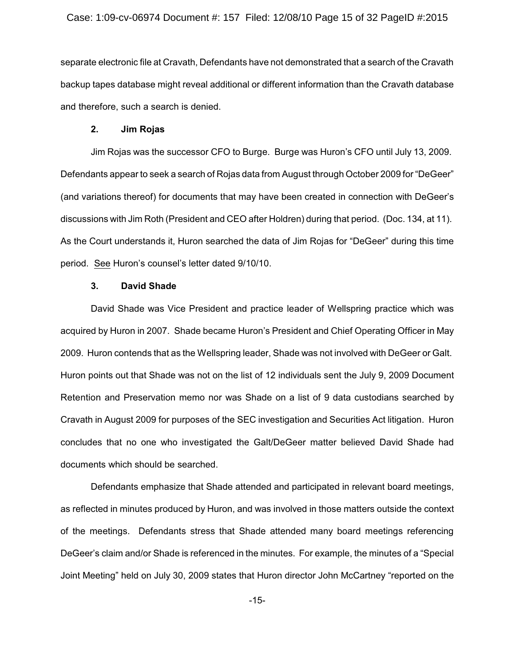### Case: 1:09-cv-06974 Document #: 157 Filed: 12/08/10 Page 15 of 32 PageID #:2015

separate electronic file at Cravath, Defendants have not demonstrated that a search of the Cravath backup tapes database might reveal additional or different information than the Cravath database and therefore, such a search is denied.

# **2. Jim Rojas**

Jim Rojas was the successor CFO to Burge. Burge was Huron's CFO until July 13, 2009. Defendants appear to seek a search of Rojas data from August through October 2009 for "DeGeer" (and variations thereof) for documents that may have been created in connection with DeGeer's discussions with Jim Roth (President and CEO after Holdren) during that period. (Doc. 134, at 11). As the Court understands it, Huron searched the data of Jim Rojas for "DeGeer" during this time period. See Huron's counsel's letter dated 9/10/10.

# **3. David Shade**

David Shade was Vice President and practice leader of Wellspring practice which was acquired by Huron in 2007. Shade became Huron's President and Chief Operating Officer in May 2009. Huron contends that as the Wellspring leader, Shade was not involved with DeGeer or Galt. Huron points out that Shade was not on the list of 12 individuals sent the July 9, 2009 Document Retention and Preservation memo nor was Shade on a list of 9 data custodians searched by Cravath in August 2009 for purposes of the SEC investigation and Securities Act litigation. Huron concludes that no one who investigated the Galt/DeGeer matter believed David Shade had documents which should be searched.

Defendants emphasize that Shade attended and participated in relevant board meetings, as reflected in minutes produced by Huron, and was involved in those matters outside the context of the meetings. Defendants stress that Shade attended many board meetings referencing DeGeer's claim and/or Shade is referenced in the minutes. For example, the minutes of a "Special Joint Meeting" held on July 30, 2009 states that Huron director John McCartney "reported on the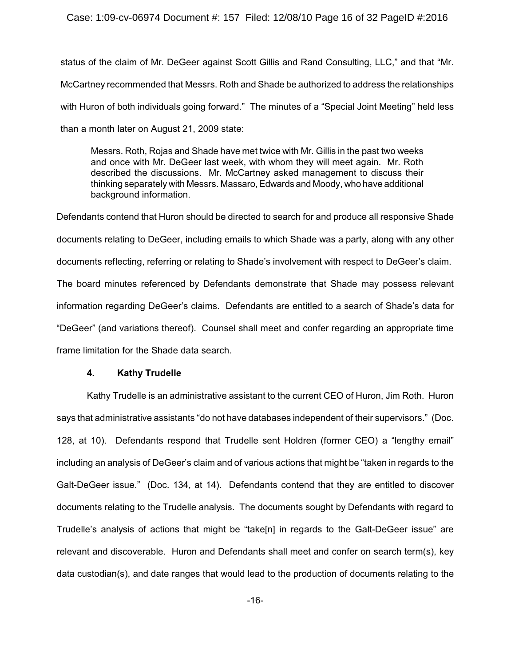# Case: 1:09-cv-06974 Document #: 157 Filed: 12/08/10 Page 16 of 32 PageID #:2016

status of the claim of Mr. DeGeer against Scott Gillis and Rand Consulting, LLC," and that "Mr. McCartney recommended that Messrs. Roth and Shade be authorized to address the relationships with Huron of both individuals going forward." The minutes of a "Special Joint Meeting" held less than a month later on August 21, 2009 state:

Messrs. Roth, Rojas and Shade have met twice with Mr. Gillis in the past two weeks and once with Mr. DeGeer last week, with whom they will meet again. Mr. Roth described the discussions. Mr. McCartney asked management to discuss their thinking separately with Messrs. Massaro, Edwards and Moody, who have additional background information.

Defendants contend that Huron should be directed to search for and produce all responsive Shade documents relating to DeGeer, including emails to which Shade was a party, along with any other documents reflecting, referring or relating to Shade's involvement with respect to DeGeer's claim. The board minutes referenced by Defendants demonstrate that Shade may possess relevant information regarding DeGeer's claims. Defendants are entitled to a search of Shade's data for "DeGeer" (and variations thereof). Counsel shall meet and confer regarding an appropriate time frame limitation for the Shade data search.

#### **4. Kathy Trudelle**

Kathy Trudelle is an administrative assistant to the current CEO of Huron, Jim Roth. Huron says that administrative assistants "do not have databases independent of their supervisors." (Doc. 128, at 10). Defendants respond that Trudelle sent Holdren (former CEO) a "lengthy email" including an analysis of DeGeer's claim and of various actions that might be "taken in regards to the Galt-DeGeer issue." (Doc. 134, at 14). Defendants contend that they are entitled to discover documents relating to the Trudelle analysis. The documents sought by Defendants with regard to Trudelle's analysis of actions that might be "take[n] in regards to the Galt-DeGeer issue" are relevant and discoverable. Huron and Defendants shall meet and confer on search term(s), key data custodian(s), and date ranges that would lead to the production of documents relating to the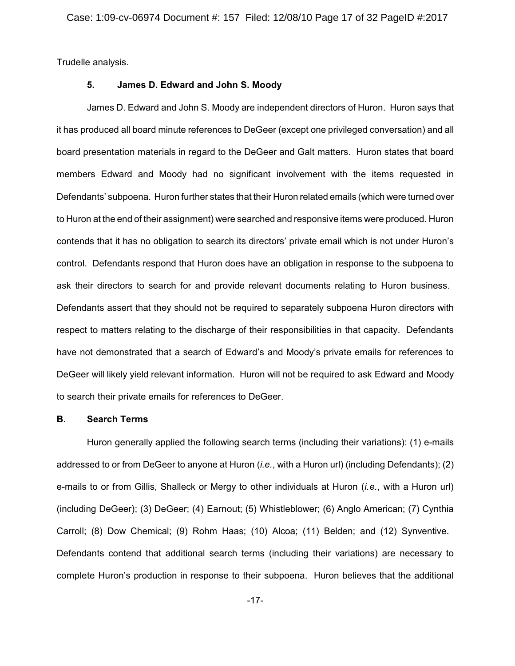Trudelle analysis.

# **5. James D. Edward and John S. Moody**

James D. Edward and John S. Moody are independent directors of Huron. Huron says that it has produced all board minute references to DeGeer (except one privileged conversation) and all board presentation materials in regard to the DeGeer and Galt matters. Huron states that board members Edward and Moody had no significant involvement with the items requested in Defendants' subpoena. Huron further states that their Huron related emails (which were turned over to Huron at the end of their assignment) were searched and responsive items were produced. Huron contends that it has no obligation to search its directors' private email which is not under Huron's control. Defendants respond that Huron does have an obligation in response to the subpoena to ask their directors to search for and provide relevant documents relating to Huron business. Defendants assert that they should not be required to separately subpoena Huron directors with respect to matters relating to the discharge of their responsibilities in that capacity. Defendants have not demonstrated that a search of Edward's and Moody's private emails for references to DeGeer will likely yield relevant information. Huron will not be required to ask Edward and Moody to search their private emails for references to DeGeer.

#### **B. Search Terms**

Huron generally applied the following search terms (including their variations): (1) e-mails addressed to or from DeGeer to anyone at Huron (*i.e.*, with a Huron url) (including Defendants); (2) e-mails to or from Gillis, Shalleck or Mergy to other individuals at Huron (*i.e.*, with a Huron url) (including DeGeer); (3) DeGeer; (4) Earnout; (5) Whistleblower; (6) Anglo American; (7) Cynthia Carroll; (8) Dow Chemical; (9) Rohm Haas; (10) Alcoa; (11) Belden; and (12) Synventive. Defendants contend that additional search terms (including their variations) are necessary to complete Huron's production in response to their subpoena. Huron believes that the additional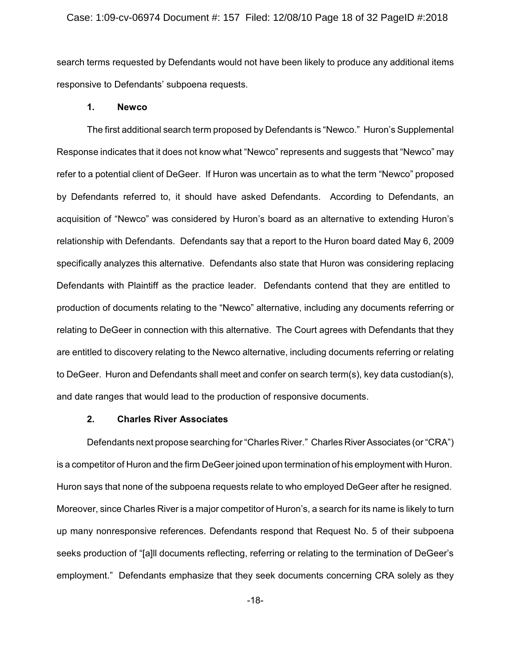search terms requested by Defendants would not have been likely to produce any additional items responsive to Defendants' subpoena requests.

#### **1. Newco**

The first additional search term proposed by Defendants is "Newco." Huron's Supplemental Response indicates that it does not know what "Newco" represents and suggests that "Newco" may refer to a potential client of DeGeer. If Huron was uncertain as to what the term "Newco" proposed by Defendants referred to, it should have asked Defendants. According to Defendants, an acquisition of "Newco" was considered by Huron's board as an alternative to extending Huron's relationship with Defendants. Defendants say that a report to the Huron board dated May 6, 2009 specifically analyzes this alternative. Defendants also state that Huron was considering replacing Defendants with Plaintiff as the practice leader. Defendants contend that they are entitled to production of documents relating to the "Newco" alternative, including any documents referring or relating to DeGeer in connection with this alternative. The Court agrees with Defendants that they are entitled to discovery relating to the Newco alternative, including documents referring or relating to DeGeer. Huron and Defendants shall meet and confer on search term(s), key data custodian(s), and date ranges that would lead to the production of responsive documents.

# **2. Charles River Associates**

Defendants next propose searching for "Charles River." Charles River Associates (or "CRA") is a competitor of Huron and the firm DeGeer joined upon termination of his employment with Huron. Huron says that none of the subpoena requests relate to who employed DeGeer after he resigned. Moreover, since Charles River is a major competitor of Huron's, a search for its name is likely to turn up many nonresponsive references. Defendants respond that Request No. 5 of their subpoena seeks production of "[a]ll documents reflecting, referring or relating to the termination of DeGeer's employment." Defendants emphasize that they seek documents concerning CRA solely as they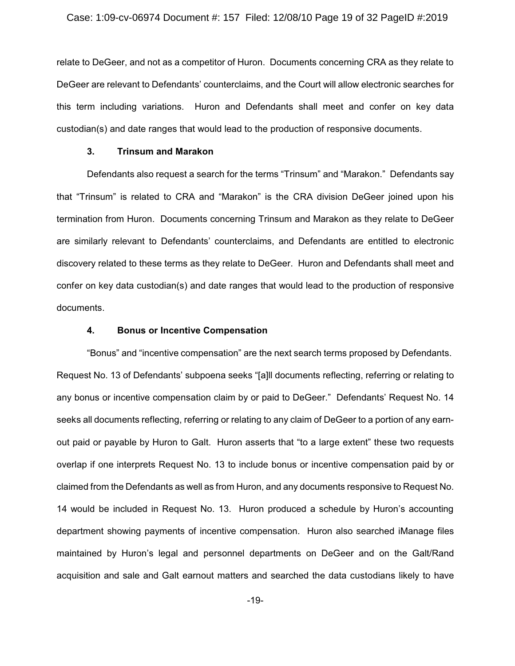relate to DeGeer, and not as a competitor of Huron. Documents concerning CRA as they relate to DeGeer are relevant to Defendants' counterclaims, and the Court will allow electronic searches for this term including variations. Huron and Defendants shall meet and confer on key data custodian(s) and date ranges that would lead to the production of responsive documents.

### **3. Trinsum and Marakon**

Defendants also request a search for the terms "Trinsum" and "Marakon." Defendants say that "Trinsum" is related to CRA and "Marakon" is the CRA division DeGeer joined upon his termination from Huron. Documents concerning Trinsum and Marakon as they relate to DeGeer are similarly relevant to Defendants' counterclaims, and Defendants are entitled to electronic discovery related to these terms as they relate to DeGeer. Huron and Defendants shall meet and confer on key data custodian(s) and date ranges that would lead to the production of responsive documents.

# **4. Bonus or Incentive Compensation**

"Bonus" and "incentive compensation" are the next search terms proposed by Defendants. Request No. 13 of Defendants' subpoena seeks "[a]ll documents reflecting, referring or relating to any bonus or incentive compensation claim by or paid to DeGeer." Defendants' Request No. 14 seeks all documents reflecting, referring or relating to any claim of DeGeer to a portion of any earnout paid or payable by Huron to Galt. Huron asserts that "to a large extent" these two requests overlap if one interprets Request No. 13 to include bonus or incentive compensation paid by or claimed from the Defendants as well as from Huron, and any documents responsive to Request No. 14 would be included in Request No. 13. Huron produced a schedule by Huron's accounting department showing payments of incentive compensation. Huron also searched iManage files maintained by Huron's legal and personnel departments on DeGeer and on the Galt/Rand acquisition and sale and Galt earnout matters and searched the data custodians likely to have

-19-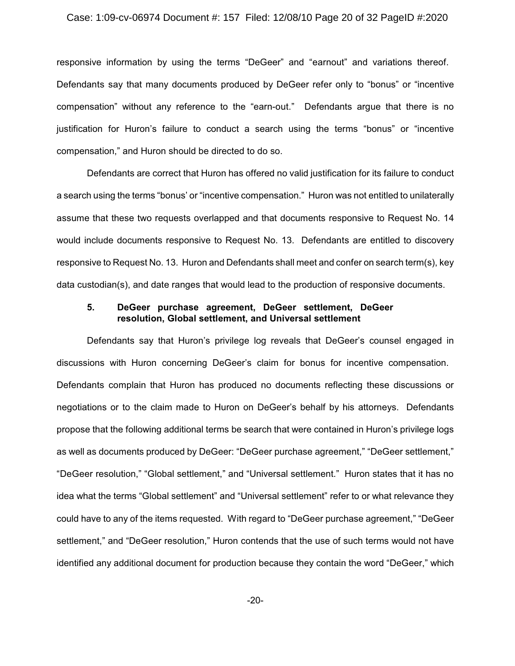#### Case: 1:09-cv-06974 Document #: 157 Filed: 12/08/10 Page 20 of 32 PageID #:2020

responsive information by using the terms "DeGeer" and "earnout" and variations thereof. Defendants say that many documents produced by DeGeer refer only to "bonus" or "incentive compensation" without any reference to the "earn-out." Defendants argue that there is no justification for Huron's failure to conduct a search using the terms "bonus" or "incentive compensation," and Huron should be directed to do so.

Defendants are correct that Huron has offered no valid justification for its failure to conduct a search using the terms "bonus' or "incentive compensation." Huron was not entitled to unilaterally assume that these two requests overlapped and that documents responsive to Request No. 14 would include documents responsive to Request No. 13. Defendants are entitled to discovery responsive to Request No. 13. Huron and Defendants shall meet and confer on search term(s), key data custodian(s), and date ranges that would lead to the production of responsive documents.

# **5. DeGeer purchase agreement, DeGeer settlement, DeGeer resolution, Global settlement, and Universal settlement**

Defendants say that Huron's privilege log reveals that DeGeer's counsel engaged in discussions with Huron concerning DeGeer's claim for bonus for incentive compensation. Defendants complain that Huron has produced no documents reflecting these discussions or negotiations or to the claim made to Huron on DeGeer's behalf by his attorneys. Defendants propose that the following additional terms be search that were contained in Huron's privilege logs as well as documents produced by DeGeer: "DeGeer purchase agreement," "DeGeer settlement," "DeGeer resolution," "Global settlement," and "Universal settlement." Huron states that it has no idea what the terms "Global settlement" and "Universal settlement" refer to or what relevance they could have to any of the items requested. With regard to "DeGeer purchase agreement," "DeGeer settlement," and "DeGeer resolution," Huron contends that the use of such terms would not have identified any additional document for production because they contain the word "DeGeer," which

-20-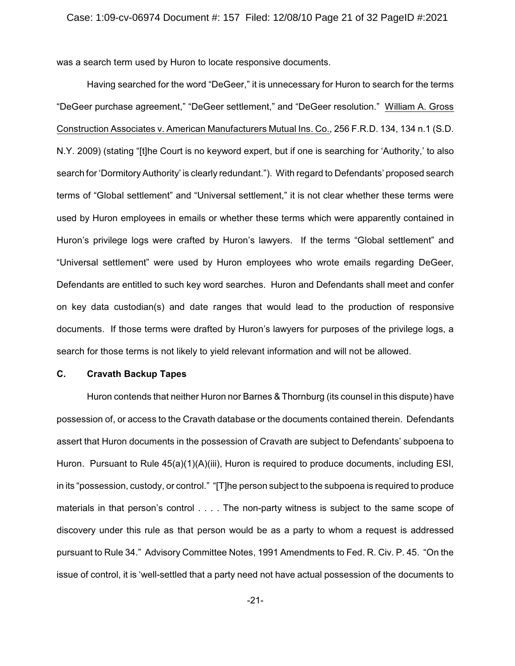was a search term used by Huron to locate responsive documents.

Having searched for the word "DeGeer," it is unnecessary for Huron to search for the terms "DeGeer purchase agreement," "DeGeer settlement," and "DeGeer resolution." William A. Gross Construction Associates v. American Manufacturers Mutual Ins. Co., 256 F.R.D. 134, 134 n.1 (S.D. N.Y. 2009) (stating "[t]he Court is no keyword expert, but if one is searching for 'Authority,' to also search for 'Dormitory Authority' is clearly redundant."). With regard to Defendants' proposed search terms of "Global settlement" and "Universal settlement," it is not clear whether these terms were used by Huron employees in emails or whether these terms which were apparently contained in Huron's privilege logs were crafted by Huron's lawyers. If the terms "Global settlement" and "Universal settlement" were used by Huron employees who wrote emails regarding DeGeer, Defendants are entitled to such key word searches. Huron and Defendants shall meet and confer on key data custodian(s) and date ranges that would lead to the production of responsive documents. If those terms were drafted by Huron's lawyers for purposes of the privilege logs, a search for those terms is not likely to yield relevant information and will not be allowed.

# **C. Cravath Backup Tapes**

Huron contends that neither Huron nor Barnes & Thornburg (its counsel in this dispute) have possession of, or access to the Cravath database or the documents contained therein. Defendants assert that Huron documents in the possession of Cravath are subject to Defendants' subpoena to Huron. Pursuant to Rule 45(a)(1)(A)(iii), Huron is required to produce documents, including ESI, in its "possession, custody, or control." "[T]he person subject to the subpoena is required to produce materials in that person's control . . . . The non-party witness is subject to the same scope of discovery under this rule as that person would be as a party to whom a request is addressed pursuant to Rule 34." Advisory Committee Notes, 1991 Amendments to Fed. R. Civ. P. 45. "On the issue of control, it is 'well-settled that a party need not have actual possession of the documents to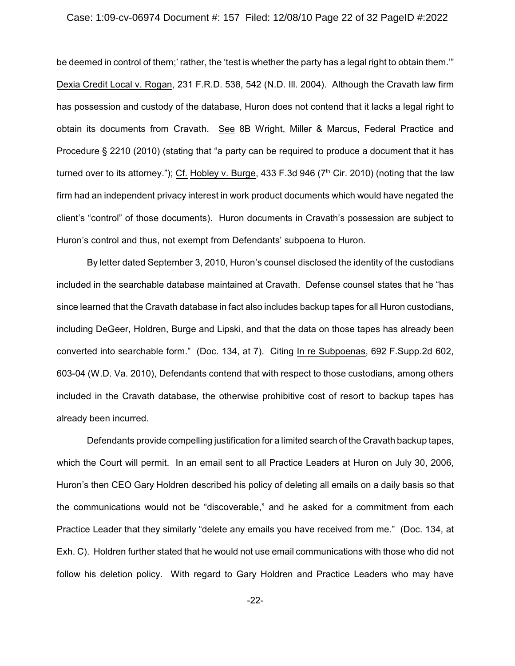#### Case: 1:09-cv-06974 Document #: 157 Filed: 12/08/10 Page 22 of 32 PageID #:2022

be deemed in control of them;' rather, the 'test is whether the party has a legal right to obtain them.'" Dexia Credit Local v. Rogan, 231 F.R.D. 538, 542 (N.D. Ill. 2004). Although the Cravath law firm has possession and custody of the database, Huron does not contend that it lacks a legal right to obtain its documents from Cravath. See 8B Wright, Miller & Marcus, Federal Practice and Procedure § 2210 (2010) (stating that "a party can be required to produce a document that it has turned over to its attorney."); Cf. Hobley v. Burge, 433 F.3d 946 ( $7<sup>th</sup>$  Cir. 2010) (noting that the law firm had an independent privacy interest in work product documents which would have negated the client's "control" of those documents). Huron documents in Cravath's possession are subject to Huron's control and thus, not exempt from Defendants' subpoena to Huron.

By letter dated September 3, 2010, Huron's counsel disclosed the identity of the custodians included in the searchable database maintained at Cravath. Defense counsel states that he "has since learned that the Cravath database in fact also includes backup tapes for all Huron custodians, including DeGeer, Holdren, Burge and Lipski, and that the data on those tapes has already been converted into searchable form." (Doc. 134, at 7). Citing In re Subpoenas, 692 F.Supp.2d 602, 603-04 (W.D. Va. 2010), Defendants contend that with respect to those custodians, among others included in the Cravath database, the otherwise prohibitive cost of resort to backup tapes has already been incurred.

Defendants provide compelling justification for a limited search of the Cravath backup tapes, which the Court will permit. In an email sent to all Practice Leaders at Huron on July 30, 2006, Huron's then CEO Gary Holdren described his policy of deleting all emails on a daily basis so that the communications would not be "discoverable," and he asked for a commitment from each Practice Leader that they similarly "delete any emails you have received from me." (Doc. 134, at Exh. C). Holdren further stated that he would not use email communications with those who did not follow his deletion policy. With regard to Gary Holdren and Practice Leaders who may have

-22-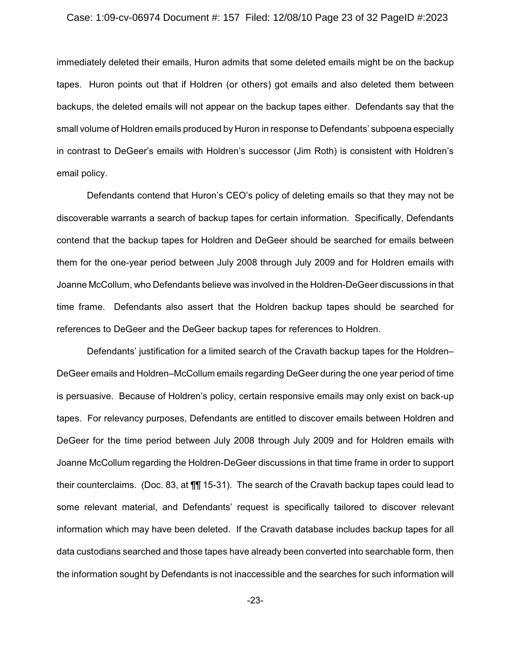# Case: 1:09-cv-06974 Document #: 157 Filed: 12/08/10 Page 23 of 32 PageID #:2023

immediately deleted their emails, Huron admits that some deleted emails might be on the backup tapes. Huron points out that if Holdren (or others) got emails and also deleted them between backups, the deleted emails will not appear on the backup tapes either. Defendants say that the small volume of Holdren emails produced by Huron in response to Defendants' subpoena especially in contrast to DeGeer's emails with Holdren's successor (Jim Roth) is consistent with Holdren's email policy.

Defendants contend that Huron's CEO's policy of deleting emails so that they may not be discoverable warrants a search of backup tapes for certain information. Specifically, Defendants contend that the backup tapes for Holdren and DeGeer should be searched for emails between them for the one-year period between July 2008 through July 2009 and for Holdren emails with Joanne McCollum, who Defendants believe was involved in the Holdren-DeGeer discussions in that time frame. Defendants also assert that the Holdren backup tapes should be searched for references to DeGeer and the DeGeer backup tapes for references to Holdren.

Defendants' justification for a limited search of the Cravath backup tapes for the Holdren– DeGeer emails and Holdren–McCollum emails regarding DeGeer during the one year period of time is persuasive. Because of Holdren's policy, certain responsive emails may only exist on back-up tapes. For relevancy purposes, Defendants are entitled to discover emails between Holdren and DeGeer for the time period between July 2008 through July 2009 and for Holdren emails with Joanne McCollum regarding the Holdren-DeGeer discussions in that time frame in order to support their counterclaims. (Doc. 83, at ¶¶ 15-31). The search of the Cravath backup tapes could lead to some relevant material, and Defendants' request is specifically tailored to discover relevant information which may have been deleted. If the Cravath database includes backup tapes for all data custodians searched and those tapes have already been converted into searchable form, then the information sought by Defendants is not inaccessible and the searches for such information will

-23-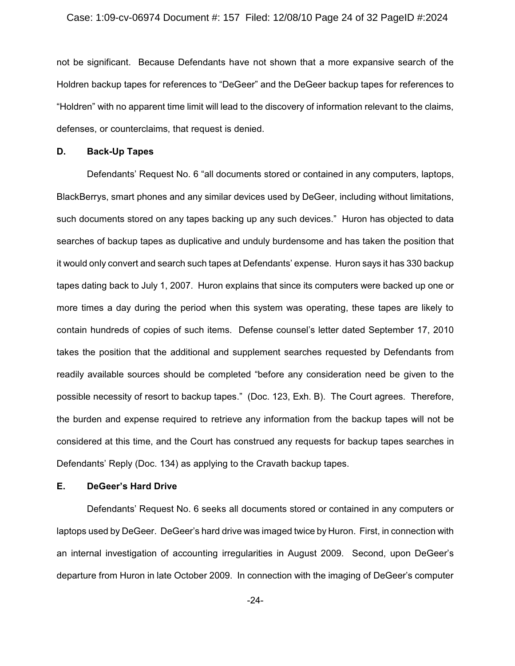#### Case: 1:09-cv-06974 Document #: 157 Filed: 12/08/10 Page 24 of 32 PageID #:2024

not be significant. Because Defendants have not shown that a more expansive search of the Holdren backup tapes for references to "DeGeer" and the DeGeer backup tapes for references to "Holdren" with no apparent time limit will lead to the discovery of information relevant to the claims, defenses, or counterclaims, that request is denied.

### **D. Back-Up Tapes**

Defendants' Request No. 6 "all documents stored or contained in any computers, laptops, BlackBerrys, smart phones and any similar devices used by DeGeer, including without limitations, such documents stored on any tapes backing up any such devices." Huron has objected to data searches of backup tapes as duplicative and unduly burdensome and has taken the position that it would only convert and search such tapes at Defendants' expense. Huron says it has 330 backup tapes dating back to July 1, 2007. Huron explains that since its computers were backed up one or more times a day during the period when this system was operating, these tapes are likely to contain hundreds of copies of such items. Defense counsel's letter dated September 17, 2010 takes the position that the additional and supplement searches requested by Defendants from readily available sources should be completed "before any consideration need be given to the possible necessity of resort to backup tapes." (Doc. 123, Exh. B). The Court agrees. Therefore, the burden and expense required to retrieve any information from the backup tapes will not be considered at this time, and the Court has construed any requests for backup tapes searches in Defendants' Reply (Doc. 134) as applying to the Cravath backup tapes.

# **E. DeGeer's Hard Drive**

Defendants' Request No. 6 seeks all documents stored or contained in any computers or laptops used by DeGeer. DeGeer's hard drive was imaged twice by Huron. First, in connection with an internal investigation of accounting irregularities in August 2009. Second, upon DeGeer's departure from Huron in late October 2009. In connection with the imaging of DeGeer's computer

-24-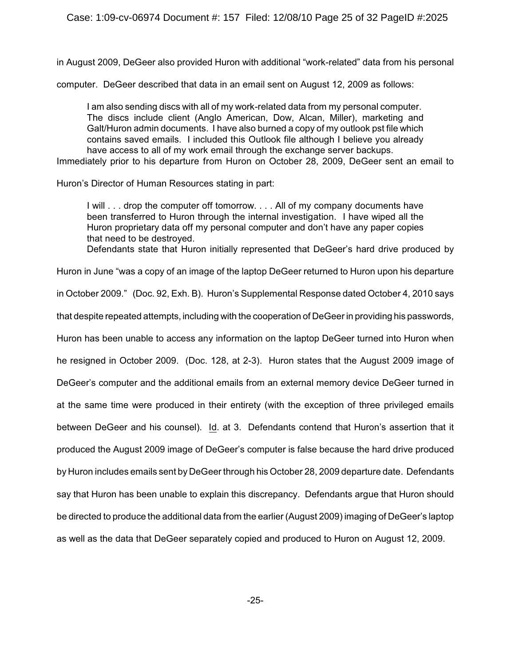in August 2009, DeGeer also provided Huron with additional "work-related" data from his personal

computer. DeGeer described that data in an email sent on August 12, 2009 as follows:

I am also sending discs with all of my work-related data from my personal computer. The discs include client (Anglo American, Dow, Alcan, Miller), marketing and Galt/Huron admin documents. I have also burned a copy of my outlook pst file which contains saved emails. I included this Outlook file although I believe you already have access to all of my work email through the exchange server backups.

Immediately prior to his departure from Huron on October 28, 2009, DeGeer sent an email to

Huron's Director of Human Resources stating in part:

I will . . . drop the computer off tomorrow. . . . All of my company documents have been transferred to Huron through the internal investigation. I have wiped all the Huron proprietary data off my personal computer and don't have any paper copies that need to be destroyed.

Defendants state that Huron initially represented that DeGeer's hard drive produced by

Huron in June "was a copy of an image of the laptop DeGeer returned to Huron upon his departure

in October 2009." (Doc. 92, Exh. B). Huron's Supplemental Response dated October 4, 2010 says

that despite repeated attempts, including with the cooperation of DeGeer in providing his passwords,

Huron has been unable to access any information on the laptop DeGeer turned into Huron when

he resigned in October 2009. (Doc. 128, at 2-3). Huron states that the August 2009 image of

DeGeer's computer and the additional emails from an external memory device DeGeer turned in

at the same time were produced in their entirety (with the exception of three privileged emails

between DeGeer and his counsel). Id. at 3. Defendants contend that Huron's assertion that it

produced the August 2009 image of DeGeer's computer is false because the hard drive produced

by Huron includes emails sent by DeGeer through his October 28, 2009 departure date. Defendants say that Huron has been unable to explain this discrepancy. Defendants argue that Huron should

be directed to produce the additional data from the earlier (August 2009) imaging of DeGeer's laptop

as well as the data that DeGeer separately copied and produced to Huron on August 12, 2009.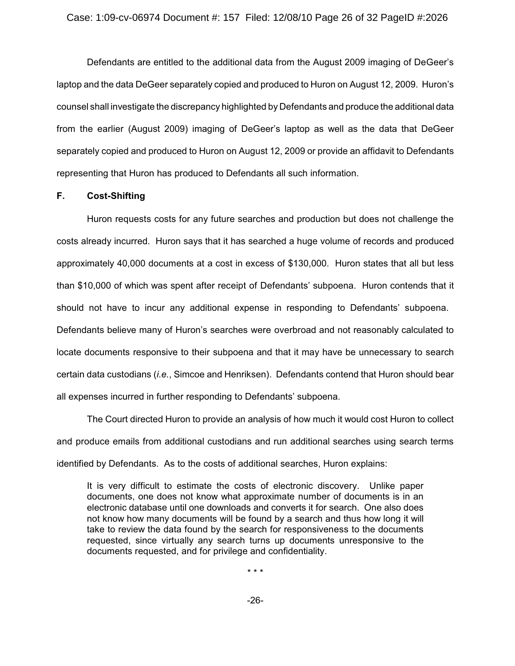Defendants are entitled to the additional data from the August 2009 imaging of DeGeer's laptop and the data DeGeer separately copied and produced to Huron on August 12, 2009. Huron's counsel shall investigate the discrepancy highlighted by Defendants and produce the additional data from the earlier (August 2009) imaging of DeGeer's laptop as well as the data that DeGeer separately copied and produced to Huron on August 12, 2009 or provide an affidavit to Defendants representing that Huron has produced to Defendants all such information.

# **F. Cost-Shifting**

Huron requests costs for any future searches and production but does not challenge the costs already incurred. Huron says that it has searched a huge volume of records and produced approximately 40,000 documents at a cost in excess of \$130,000. Huron states that all but less than \$10,000 of which was spent after receipt of Defendants' subpoena. Huron contends that it should not have to incur any additional expense in responding to Defendants' subpoena. Defendants believe many of Huron's searches were overbroad and not reasonably calculated to locate documents responsive to their subpoena and that it may have be unnecessary to search certain data custodians (*i.e.*, Simcoe and Henriksen). Defendants contend that Huron should bear all expenses incurred in further responding to Defendants' subpoena.

The Court directed Huron to provide an analysis of how much it would cost Huron to collect and produce emails from additional custodians and run additional searches using search terms identified by Defendants. As to the costs of additional searches, Huron explains:

It is very difficult to estimate the costs of electronic discovery. Unlike paper documents, one does not know what approximate number of documents is in an electronic database until one downloads and converts it for search. One also does not know how many documents will be found by a search and thus how long it will take to review the data found by the search for responsiveness to the documents requested, since virtually any search turns up documents unresponsive to the documents requested, and for privilege and confidentiality.

\* \* \*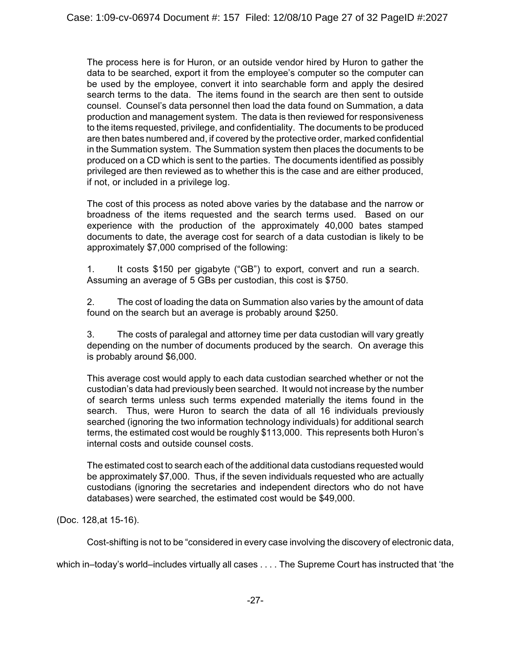The process here is for Huron, or an outside vendor hired by Huron to gather the data to be searched, export it from the employee's computer so the computer can be used by the employee, convert it into searchable form and apply the desired search terms to the data. The items found in the search are then sent to outside counsel. Counsel's data personnel then load the data found on Summation, a data production and management system. The data is then reviewed for responsiveness to the items requested, privilege, and confidentiality. The documents to be produced are then bates numbered and, if covered by the protective order, marked confidential in the Summation system. The Summation system then places the documents to be produced on a CD which is sent to the parties. The documents identified as possibly privileged are then reviewed as to whether this is the case and are either produced, if not, or included in a privilege log.

The cost of this process as noted above varies by the database and the narrow or broadness of the items requested and the search terms used. Based on our experience with the production of the approximately 40,000 bates stamped documents to date, the average cost for search of a data custodian is likely to be approximately \$7,000 comprised of the following:

1. It costs \$150 per gigabyte ("GB") to export, convert and run a search. Assuming an average of 5 GBs per custodian, this cost is \$750.

2. The cost of loading the data on Summation also varies by the amount of data found on the search but an average is probably around \$250.

3. The costs of paralegal and attorney time per data custodian will vary greatly depending on the number of documents produced by the search. On average this is probably around \$6,000.

This average cost would apply to each data custodian searched whether or not the custodian's data had previously been searched. It would not increase by the number of search terms unless such terms expended materially the items found in the search. Thus, were Huron to search the data of all 16 individuals previously searched (ignoring the two information technology individuals) for additional search terms, the estimated cost would be roughly \$113,000. This represents both Huron's internal costs and outside counsel costs.

The estimated cost to search each of the additional data custodians requested would be approximately \$7,000. Thus, if the seven individuals requested who are actually custodians (ignoring the secretaries and independent directors who do not have databases) were searched, the estimated cost would be \$49,000.

(Doc. 128,at 15-16).

Cost-shifting is not to be "considered in every case involving the discovery of electronic data,

which in–today's world–includes virtually all cases . . . . The Supreme Court has instructed that 'the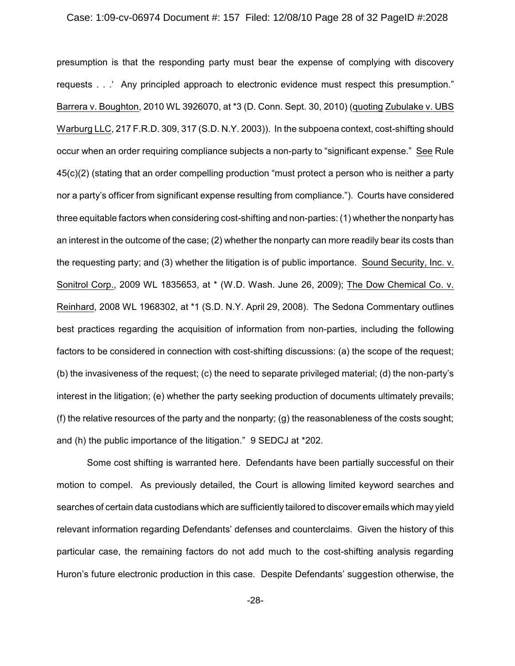#### Case: 1:09-cv-06974 Document #: 157 Filed: 12/08/10 Page 28 of 32 PageID #:2028

presumption is that the responding party must bear the expense of complying with discovery requests . . .' Any principled approach to electronic evidence must respect this presumption." Barrera v. Boughton, 2010 WL 3926070, at \*3 (D. Conn. Sept. 30, 2010) (quoting Zubulake v. UBS Warburg LLC, 217 F.R.D. 309, 317 (S.D. N.Y. 2003)). In the subpoena context, cost-shifting should occur when an order requiring compliance subjects a non-party to "significant expense." See Rule 45(c)(2) (stating that an order compelling production "must protect a person who is neither a party nor a party's officer from significant expense resulting from compliance."). Courts have considered three equitable factors when considering cost-shifting and non-parties: (1) whether the nonparty has an interest in the outcome of the case; (2) whether the nonparty can more readily bear its costs than the requesting party; and (3) whether the litigation is of public importance. Sound Security, Inc. v. Sonitrol Corp., 2009 WL 1835653, at \* (W.D. Wash. June 26, 2009); The Dow Chemical Co. v. Reinhard, 2008 WL 1968302, at \*1 (S.D. N.Y. April 29, 2008). The Sedona Commentary outlines best practices regarding the acquisition of information from non-parties, including the following factors to be considered in connection with cost-shifting discussions: (a) the scope of the request; (b) the invasiveness of the request; (c) the need to separate privileged material; (d) the non-party's interest in the litigation; (e) whether the party seeking production of documents ultimately prevails; (f) the relative resources of the party and the nonparty; (g) the reasonableness of the costs sought; and (h) the public importance of the litigation." 9 SEDCJ at \*202.

Some cost shifting is warranted here. Defendants have been partially successful on their motion to compel. As previously detailed, the Court is allowing limited keyword searches and searches of certain data custodians which are sufficiently tailored to discover emails which may yield relevant information regarding Defendants' defenses and counterclaims. Given the history of this particular case, the remaining factors do not add much to the cost-shifting analysis regarding Huron's future electronic production in this case. Despite Defendants' suggestion otherwise, the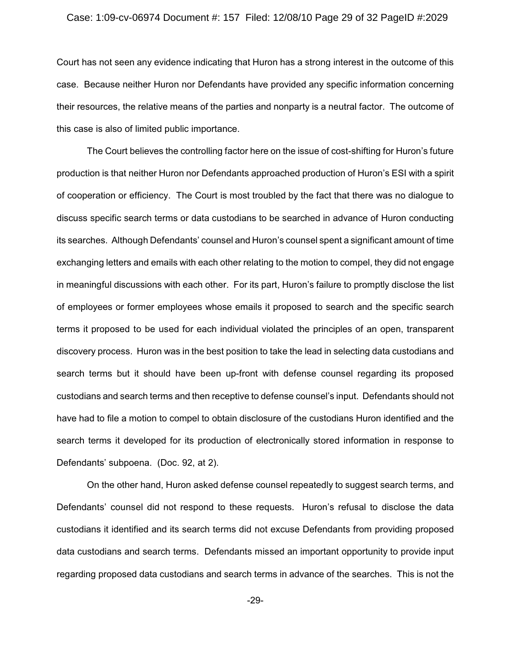# Case: 1:09-cv-06974 Document #: 157 Filed: 12/08/10 Page 29 of 32 PageID #:2029

Court has not seen any evidence indicating that Huron has a strong interest in the outcome of this case. Because neither Huron nor Defendants have provided any specific information concerning their resources, the relative means of the parties and nonparty is a neutral factor. The outcome of this case is also of limited public importance.

The Court believes the controlling factor here on the issue of cost-shifting for Huron's future production is that neither Huron nor Defendants approached production of Huron's ESI with a spirit of cooperation or efficiency. The Court is most troubled by the fact that there was no dialogue to discuss specific search terms or data custodians to be searched in advance of Huron conducting its searches. Although Defendants' counsel and Huron's counsel spent a significant amount of time exchanging letters and emails with each other relating to the motion to compel, they did not engage in meaningful discussions with each other. For its part, Huron's failure to promptly disclose the list of employees or former employees whose emails it proposed to search and the specific search terms it proposed to be used for each individual violated the principles of an open, transparent discovery process. Huron was in the best position to take the lead in selecting data custodians and search terms but it should have been up-front with defense counsel regarding its proposed custodians and search terms and then receptive to defense counsel's input. Defendants should not have had to file a motion to compel to obtain disclosure of the custodians Huron identified and the search terms it developed for its production of electronically stored information in response to Defendants' subpoena. (Doc. 92, at 2).

On the other hand, Huron asked defense counsel repeatedly to suggest search terms, and Defendants' counsel did not respond to these requests. Huron's refusal to disclose the data custodians it identified and its search terms did not excuse Defendants from providing proposed data custodians and search terms. Defendants missed an important opportunity to provide input regarding proposed data custodians and search terms in advance of the searches. This is not the

-29-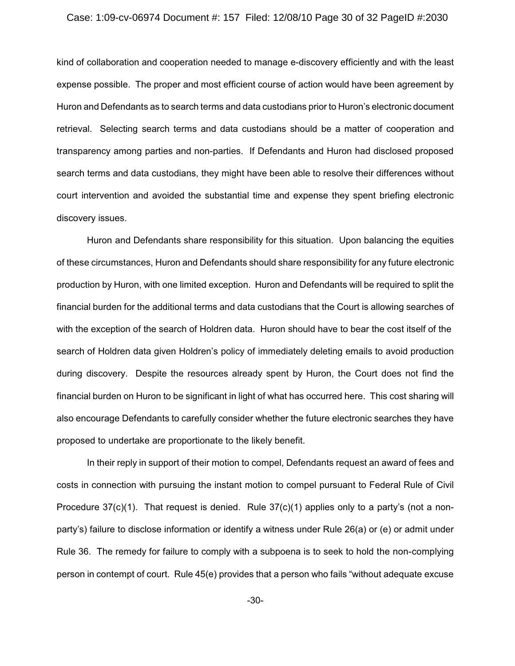#### Case: 1:09-cv-06974 Document #: 157 Filed: 12/08/10 Page 30 of 32 PageID #:2030

kind of collaboration and cooperation needed to manage e-discovery efficiently and with the least expense possible. The proper and most efficient course of action would have been agreement by Huron and Defendants as to search terms and data custodians prior to Huron's electronic document retrieval. Selecting search terms and data custodians should be a matter of cooperation and transparency among parties and non-parties. If Defendants and Huron had disclosed proposed search terms and data custodians, they might have been able to resolve their differences without court intervention and avoided the substantial time and expense they spent briefing electronic discovery issues.

Huron and Defendants share responsibility for this situation. Upon balancing the equities of these circumstances, Huron and Defendants should share responsibility for any future electronic production by Huron, with one limited exception. Huron and Defendants will be required to split the financial burden for the additional terms and data custodians that the Court is allowing searches of with the exception of the search of Holdren data. Huron should have to bear the cost itself of the search of Holdren data given Holdren's policy of immediately deleting emails to avoid production during discovery. Despite the resources already spent by Huron, the Court does not find the financial burden on Huron to be significant in light of what has occurred here. This cost sharing will also encourage Defendants to carefully consider whether the future electronic searches they have proposed to undertake are proportionate to the likely benefit.

In their reply in support of their motion to compel, Defendants request an award of fees and costs in connection with pursuing the instant motion to compel pursuant to Federal Rule of Civil Procedure  $37(c)(1)$ . That request is denied. Rule  $37(c)(1)$  applies only to a party's (not a nonparty's) failure to disclose information or identify a witness under Rule 26(a) or (e) or admit under Rule 36. The remedy for failure to comply with a subpoena is to seek to hold the non-complying person in contempt of court. Rule 45(e) provides that a person who fails "without adequate excuse

-30-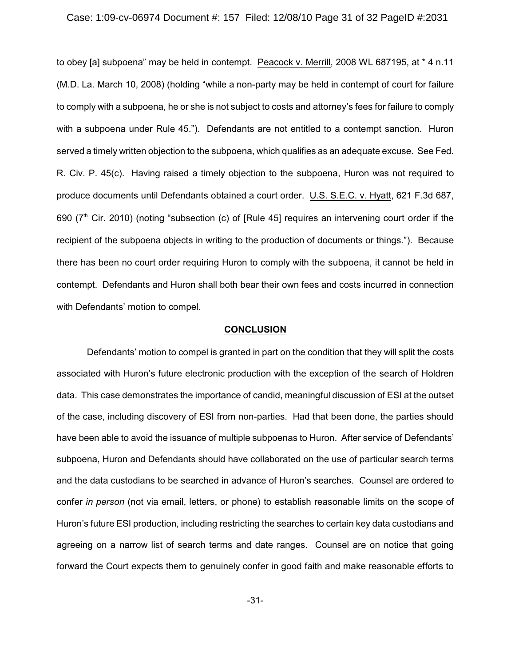# Case: 1:09-cv-06974 Document #: 157 Filed: 12/08/10 Page 31 of 32 PageID #:2031

to obey [a] subpoena" may be held in contempt. Peacock v. Merrill, 2008 WL 687195, at \* 4 n.11 (M.D. La. March 10, 2008) (holding "while a non-party may be held in contempt of court for failure to comply with a subpoena, he or she is not subject to costs and attorney's fees for failure to comply with a subpoena under Rule 45."). Defendants are not entitled to a contempt sanction. Huron served a timely written objection to the subpoena, which qualifies as an adequate excuse. See Fed. R. Civ. P. 45(c). Having raised a timely objection to the subpoena, Huron was not required to produce documents until Defendants obtained a court order. U.S. S.E.C. v. Hyatt, 621 F.3d 687, 690 ( $7<sup>th</sup>$  Cir. 2010) (noting "subsection (c) of [Rule 45] requires an intervening court order if the recipient of the subpoena objects in writing to the production of documents or things."). Because there has been no court order requiring Huron to comply with the subpoena, it cannot be held in contempt. Defendants and Huron shall both bear their own fees and costs incurred in connection with Defendants' motion to compel.

# **CONCLUSION**

Defendants' motion to compel is granted in part on the condition that they will split the costs associated with Huron's future electronic production with the exception of the search of Holdren data. This case demonstrates the importance of candid, meaningful discussion of ESI at the outset of the case, including discovery of ESI from non-parties. Had that been done, the parties should have been able to avoid the issuance of multiple subpoenas to Huron. After service of Defendants' subpoena, Huron and Defendants should have collaborated on the use of particular search terms and the data custodians to be searched in advance of Huron's searches. Counsel are ordered to confer *in person* (not via email, letters, or phone) to establish reasonable limits on the scope of Huron's future ESI production, including restricting the searches to certain key data custodians and agreeing on a narrow list of search terms and date ranges. Counsel are on notice that going forward the Court expects them to genuinely confer in good faith and make reasonable efforts to